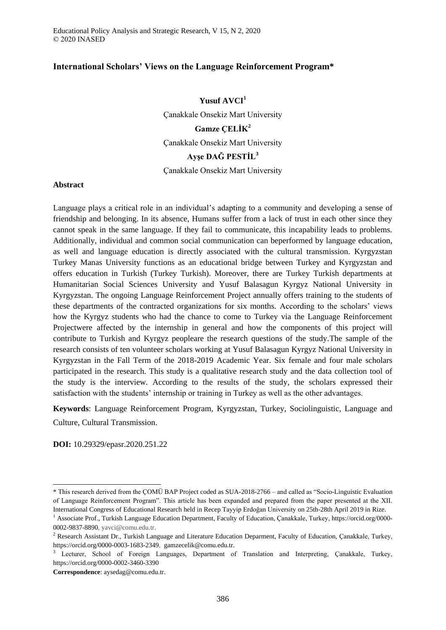# **International Scholars' Views on the Language Reinforcement Program\***

**Yusuf AVCI<sup>1</sup>** Çanakkale Onsekiz Mart University **Gamze ÇELİK<sup>2</sup>** Çanakkale Onsekiz Mart University **Ayşe DAĞ PESTİL<sup>3</sup>**

Çanakkale Onsekiz Mart University

### **Abstract**

Language plays a critical role in an individual's adapting to a community and developing a sense of friendship and belonging. In its absence, Humans suffer from a lack of trust in each other since they cannot speak in the same language. If they fail to communicate, this incapability leads to problems. Additionally, individual and common social communication can beperformed by language education, as well and language education is directly associated with the cultural transmission. Kyrgyzstan Turkey Manas University functions as an educational bridge between Turkey and Kyrgyzstan and offers education in Turkish (Turkey Turkish). Moreover, there are Turkey Turkish departments at Humanitarian Social Sciences University and Yusuf Balasagun Kyrgyz National University in Kyrgyzstan. The ongoing Language Reinforcement Project annually offers training to the students of these departments of the contracted organizations for six months. According to the scholars' views how the Kyrgyz students who had the chance to come to Turkey via the Language Reinforcement Projectwere affected by the internship in general and how the components of this project will contribute to Turkish and Kyrgyz peopleare the research questions of the study.The sample of the research consists of ten volunteer scholars working at Yusuf Balasagun Kyrgyz National University in Kyrgyzstan in the Fall Term of the 2018-2019 Academic Year. Six female and four male scholars participated in the research. This study is a qualitative research study and the data collection tool of the study is the interview. According to the results of the study, the scholars expressed their satisfaction with the students' internship or training in Turkey as well as the other advantages.

**Keywords**: Language Reinforcement Program, Kyrgyzstan, Turkey, Sociolinguistic, Language and Culture, Cultural Transmission.

**DOI:** 10.29329/epasr.2020.251.22

-

<sup>\*</sup> This research derived from the ÇOMÜ BAP Project coded as SUA-2018-2766 – and called as "Socio-Linguistic Evaluation of Language Reinforcement Program". This article has been expanded and prepared from the paper presented at the XII. International Congress of Educational Research held in Recep Tayyip Erdoğan University on 25th-28th April 2019 in Rize.

<sup>1</sup> Associate Prof., Turkish Language Education Department, Faculty of Education, Çanakkale, Turkey, https://orcid.org/0000- 0002-9837-8890, yavci@comu.edu.tr.

<sup>&</sup>lt;sup>2</sup> Research Assistant Dr., Turkish Language and Literature Education Deparment, Faculty of Education, Çanakkale, Turkey, https://orcid.org/0000-0003-1683-2349, gamzecelik@comu.edu.tr.

<sup>3</sup> Lecturer, School of Foreign Languages, Department of Translation and Interpreting, Çanakkale, Turkey, https://orcid.org/0000-0002-3460-3390

**Correspondence**: aysedag@comu.edu.tr.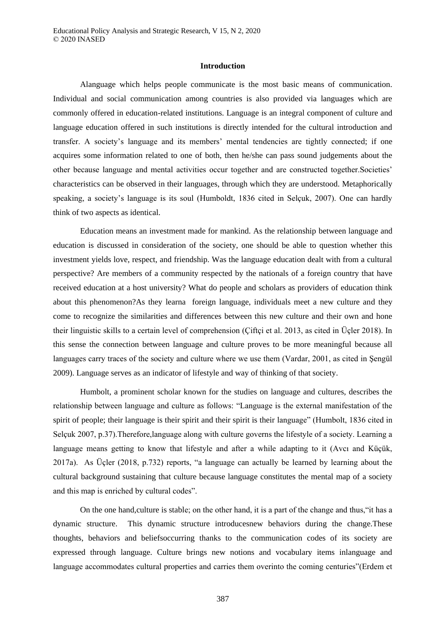## **Introduction**

Alanguage which helps people communicate is the most basic means of communication. Individual and social communication among countries is also provided via languages which are commonly offered in education-related institutions. Language is an integral component of culture and language education offered in such institutions is directly intended for the cultural introduction and transfer. A society's language and its members' mental tendencies are tightly connected; if one acquires some information related to one of both, then he/she can pass sound judgements about the other because language and mental activities occur together and are constructed together.Societies' characteristics can be observed in their languages, through which they are understood. Metaphorically speaking, a society's language is its soul (Humboldt, 1836 cited in Selçuk, 2007). One can hardly think of two aspects as identical.

Education means an investment made for mankind. As the relationship between language and education is discussed in consideration of the society, one should be able to question whether this investment yields love, respect, and friendship. Was the language education dealt with from a cultural perspective? Are members of a community respected by the nationals of a foreign country that have received education at a host university? What do people and scholars as providers of education think about this phenomenon?As they learna foreign language, individuals meet a new culture and they come to recognize the similarities and differences between this new culture and their own and hone their linguistic skills to a certain level of comprehension (Çiftçi et al. 2013, as cited in Üçler 2018). In this sense the connection between language and culture proves to be more meaningful because all languages carry traces of the society and culture where we use them (Vardar, 2001, as cited in Sengül 2009). Language serves as an indicator of lifestyle and way of thinking of that society.

Humbolt, a prominent scholar known for the studies on language and cultures, describes the relationship between language and culture as follows: "Language is the external manifestation of the spirit of people; their language is their spirit and their spirit is their language" (Humbolt, 1836 cited in Selçuk 2007, p.37).Therefore,language along with culture governs the lifestyle of a society. Learning a language means getting to know that lifestyle and after a while adapting to it (Avcı and Küçük, 2017a). As Üçler (2018, p.732) reports, "a language can actually be learned by learning about the cultural background sustaining that culture because language constitutes the mental map of a society and this map is enriched by cultural codes".

On the one hand,culture is stable; on the other hand, it is a part of the change and thus,"it has a dynamic structure. This dynamic structure introducesnew behaviors during the change.These thoughts, behaviors and beliefsoccurring thanks to the communication codes of its society are expressed through language. Culture brings new notions and vocabulary items inlanguage and language accommodates cultural properties and carries them overinto the coming centuries"(Erdem et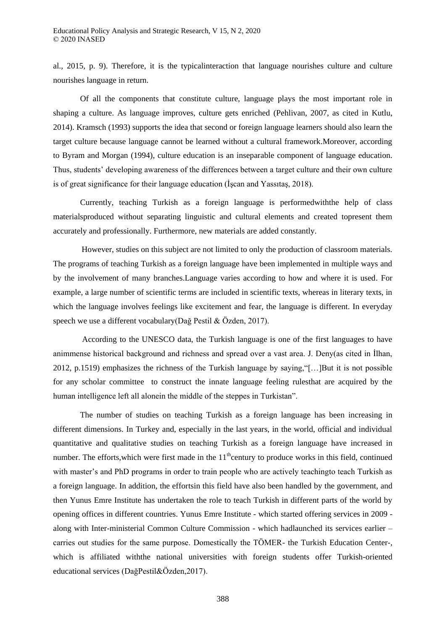al., 2015, p. 9). Therefore, it is the typicalinteraction that language nourishes culture and culture nourishes language in return.

Of all the components that constitute culture, language plays the most important role in shaping a culture. As language improves, culture gets enriched (Pehlivan, 2007, as cited in Kutlu, 2014). Kramsch (1993) supports the idea that second or foreign language learners should also learn the target culture because language cannot be learned without a cultural framework.Moreover, according to Byram and Morgan (1994), culture education is an inseparable component of language education. Thus, students' developing awareness of the differences between a target culture and their own culture is of great significance for their language education (İşcan and Yassıtaş, 2018).

Currently, teaching Turkish as a foreign language is performedwiththe help of class materialsproduced without separating linguistic and cultural elements and created topresent them accurately and professionally. Furthermore, new materials are added constantly.

However, studies on this subject are not limited to only the production of classroom materials. The programs of teaching Turkish as a foreign language have been implemented in multiple ways and by the involvement of many branches.Language varies according to how and where it is used. For example, a large number of scientific terms are included in scientific texts, whereas in literary texts, in which the language involves feelings like excitement and fear, the language is different. In everyday speech we use a different vocabulary(Dağ Pestil & Özden, 2017).

According to the UNESCO data, the Turkish language is one of the first languages to have animmense historical background and richness and spread over a vast area. J. Deny(as cited in İlhan, 2012, p.1519) emphasizes the richness of the Turkish language by saying,"[…]But it is not possible for any scholar committee to construct the innate language feeling rulesthat are acquired by the human intelligence left all alonein the middle of the steppes in Turkistan".

The number of studies on teaching Turkish as a foreign language has been increasing in different dimensions. In Turkey and, especially in the last years, in the world, official and individual quantitative and qualitative studies on teaching Turkish as a foreign language have increased in number. The efforts, which were first made in the  $11<sup>th</sup>$ century to produce works in this field, continued with master's and PhD programs in order to train people who are actively teachingto teach Turkish as a foreign language. In addition, the effortsin this field have also been handled by the government, and then Yunus Emre Institute has undertaken the role to teach Turkish in different parts of the world by opening offices in different countries. Yunus Emre Institute - which started offering services in 2009 along with Inter-ministerial Common Culture Commission - which hadlaunched its services earlier – carries out studies for the same purpose. Domestically the TÖMER- the Turkish Education Center-, which is affiliated withthe national universities with foreign students offer Turkish-oriented educational services (DağPestil&Özden,2017).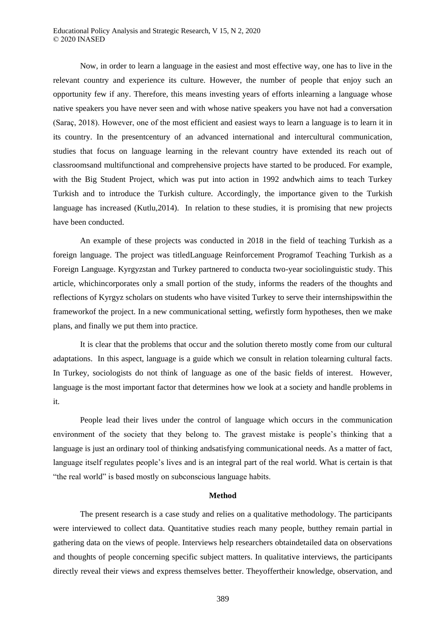Now, in order to learn a language in the easiest and most effective way, one has to live in the relevant country and experience its culture. However, the number of people that enjoy such an opportunity few if any. Therefore, this means investing years of efforts inlearning a language whose native speakers you have never seen and with whose native speakers you have not had a conversation (Saraç, 2018). However, one of the most efficient and easiest ways to learn a language is to learn it in its country. In the presentcentury of an advanced international and intercultural communication, studies that focus on language learning in the relevant country have extended its reach out of classroomsand multifunctional and comprehensive projects have started to be produced. For example, with the Big Student Project, which was put into action in 1992 andwhich aims to teach Turkey Turkish and to introduce the Turkish culture. Accordingly, the importance given to the Turkish language has increased (Kutlu,2014). In relation to these studies, it is promising that new projects have been conducted.

An example of these projects was conducted in 2018 in the field of teaching Turkish as a foreign language. The project was titledLanguage Reinforcement Programof Teaching Turkish as a Foreign Language. Kyrgyzstan and Turkey partnered to conducta two-year sociolinguistic study. This article, whichincorporates only a small portion of the study, informs the readers of the thoughts and reflections of Kyrgyz scholars on students who have visited Turkey to serve their internshipswithin the frameworkof the project. In a new communicational setting, wefirstly form hypotheses, then we make plans, and finally we put them into practice.

It is clear that the problems that occur and the solution thereto mostly come from our cultural adaptations. In this aspect, language is a guide which we consult in relation tolearning cultural facts. In Turkey, sociologists do not think of language as one of the basic fields of interest. However, language is the most important factor that determines how we look at a society and handle problems in it.

People lead their lives under the control of language which occurs in the communication environment of the society that they belong to. The gravest mistake is people's thinking that a language is just an ordinary tool of thinking andsatisfying communicational needs. As a matter of fact, language itself regulates people's lives and is an integral part of the real world. What is certain is that "the real world" is based mostly on subconscious language habits.

#### **Method**

The present research is a case study and relies on a qualitative methodology. The participants were interviewed to collect data. Quantitative studies reach many people, butthey remain partial in gathering data on the views of people. Interviews help researchers obtaindetailed data on observations and thoughts of people concerning specific subject matters. In qualitative interviews, the participants directly reveal their views and express themselves better. Theyoffertheir knowledge, observation, and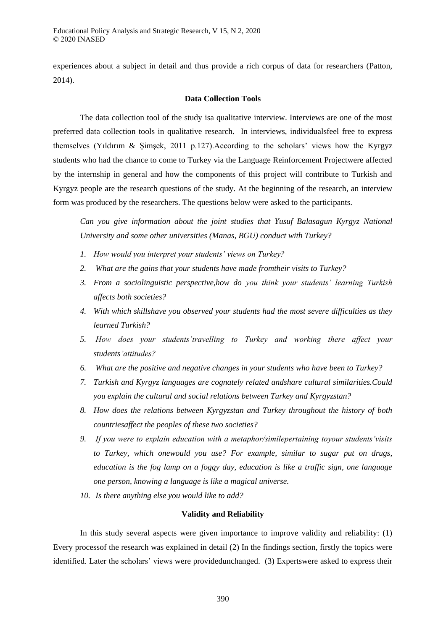experiences about a subject in detail and thus provide a rich corpus of data for researchers (Patton, 2014).

## **Data Collection Tools**

The data collection tool of the study isa qualitative interview. Interviews are one of the most preferred data collection tools in qualitative research. In interviews, individualsfeel free to express themselves (Yıldırım & Şimşek, 2011 p.127).According to the scholars' views how the Kyrgyz students who had the chance to come to Turkey via the Language Reinforcement Projectwere affected by the internship in general and how the components of this project will contribute to Turkish and Kyrgyz people are the research questions of the study. At the beginning of the research, an interview form was produced by the researchers. The questions below were asked to the participants.

*Can you give information about the joint studies that Yusuf Balasagun Kyrgyz National University and some other universities (Manas, BGU) conduct with Turkey?*

- 1. How would you interpret your students' views on Turkey?
- *2. What are the gains that your students have made fromtheir visits to Turkey?*
- 3. From a sociolinguistic perspective, how do you think your students' learning Turkish *affects both societies?*
- *4. With which skillshave you observed your students had the most severe difficulties as they learned Turkish?*
- 5. How does your students'travelling to Turkey and working there affect your *students'attitudes?*
- *6. What are the positive and negative changes in your students who have been to Turkey?*
- *7. Turkish and Kyrgyz languages are cognately related andshare cultural similarities.Could you explain the cultural and social relations between Turkey and Kyrgyzstan?*
- *8. How does the relations between Kyrgyzstan and Turkey throughout the history of both countriesaffect the peoples of these two societies?*
- *9. I you were to explain education with a metaphor/similepertaining toyour students'visits to Turkey, which onewould you use? For example, similar to sugar put on drugs, education is the fog lamp on a foggy day, education is like a traffic sign, one language one person, knowing a language is like a magical universe.*
- *10. Is there anything else you would like to add?*

# **Validity and Reliability**

In this study several aspects were given importance to improve validity and reliability: (1) Every processof the research was explained in detail (2) In the findings section, firstly the topics were identified. Later the scholars' views were providedunchanged. (3) Expertswere asked to express their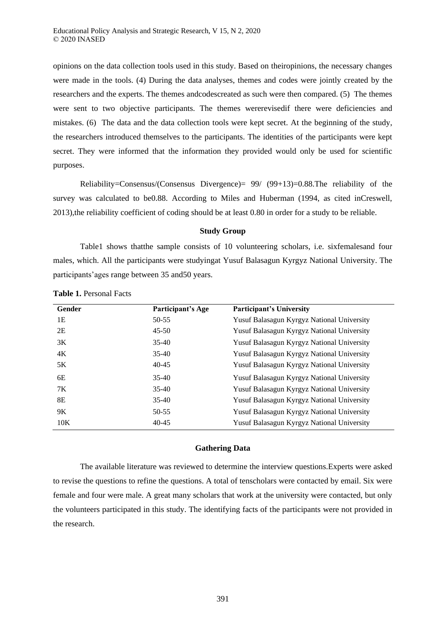opinions on the data collection tools used in this study. Based on theiropinions, the necessary changes were made in the tools. (4) During the data analyses, themes and codes were jointly created by the researchers and the experts. The themes andcodescreated as such were then compared. (5) The themes were sent to two objective participants. The themes wererevisedif there were deficiencies and mistakes. (6) The data and the data collection tools were kept secret. At the beginning of the study, the researchers introduced themselves to the participants. The identities of the participants were kept secret. They were informed that the information they provided would only be used for scientific purposes.

Reliability=Consensus/(Consensus Divergence)= 99/ (99+13)=0.88.The reliability of the survey was calculated to be0.88. According to Miles and Huberman (1994, as cited inCreswell, 2013),the reliability coefficient of coding should be at least 0.80 in order for a study to be reliable.

#### **Study Group**

Table1 shows thatthe sample consists of 10 volunteering scholars, i.e. sixfemalesand four males, which. All the participants were studyingat Yusuf Balasagun Kyrgyz National University. The participants'ages range between 35 and50 years.

| Gender | Participant's Age | <b>Participant's University</b>            |
|--------|-------------------|--------------------------------------------|
| 1Е     | 50-55             | Yusuf Balasagun Kyrgyz National University |
| 2E     | $45 - 50$         | Yusuf Balasagun Kyrgyz National University |
| 3K     | $35-40$           | Yusuf Balasagun Kyrgyz National University |
| 4K     | $35-40$           | Yusuf Balasagun Kyrgyz National University |
| 5K     | $40 - 45$         | Yusuf Balasagun Kyrgyz National University |
| 6E     | $35-40$           | Yusuf Balasagun Kyrgyz National University |
| 7K     | $35-40$           | Yusuf Balasagun Kyrgyz National University |
| 8E     | $35-40$           | Yusuf Balasagun Kyrgyz National University |
| 9K     | $50 - 55$         | Yusuf Balasagun Kyrgyz National University |
| 10K    | $40 - 45$         | Yusuf Balasagun Kyrgyz National University |

**Table 1.** Personal Facts

#### **Gathering Data**

The available literature was reviewed to determine the interview questions.Experts were asked to revise the questions to refine the questions. A total of tenscholars were contacted by email. Six were female and four were male. A great many scholars that work at the university were contacted, but only the volunteers participated in this study. The identifying facts of the participants were not provided in the research.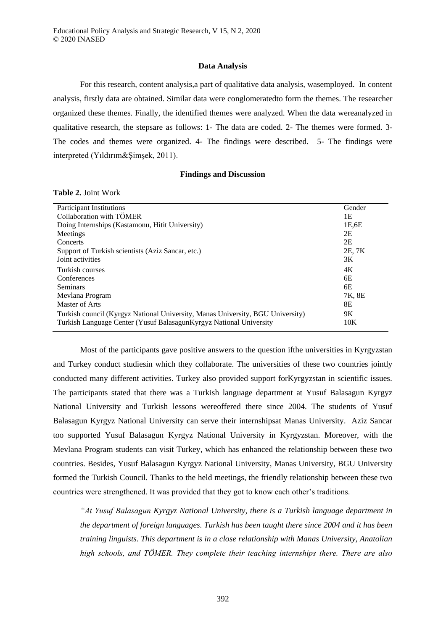# **Data Analysis**

For this research, content analysis,a part of qualitative data analysis, wasemployed. In content analysis, firstly data are obtained. Similar data were conglomeratedto form the themes. The researcher organized these themes. Finally, the identified themes were analyzed. When the data wereanalyzed in qualitative research, the stepsare as follows: 1- The data are coded. 2- The themes were formed. 3- The codes and themes were organized. 4- The findings were described. 5- The findings were interpreted (Yıldırım&Şimşek, 2011).

### **Findings and Discussion**

### **Table 2.** Joint Work

| <b>Participant Institutions</b>                                                | Gender |
|--------------------------------------------------------------------------------|--------|
| Collaboration with TÖMER                                                       | 1Ε     |
| Doing Internships (Kastamonu, Hitit University)                                | 1E,6E  |
| Meetings                                                                       | 2E     |
| Concerts                                                                       | 2E     |
| Support of Turkish scientists (Aziz Sancar, etc.)                              | 2E, 7K |
| Joint activities                                                               | 3K     |
| Turkish courses                                                                | 4K     |
| Conferences                                                                    | 6E     |
| <b>Seminars</b>                                                                | 6E     |
| Mevlana Program                                                                | 7K, 8E |
| Master of Arts                                                                 | 8E     |
| Turkish council (Kyrgyz National University, Manas University, BGU University) | 9K     |
| Turkish Language Center (Yusuf Balasagun Kyrgyz National University            | 10K    |
|                                                                                |        |

Most of the participants gave positive answers to the question ifthe universities in Kyrgyzstan and Turkey conduct studiesin which they collaborate. The universities of these two countries jointly conducted many different activities. Turkey also provided support forKyrgyzstan in scientific issues. The participants stated that there was a Turkish language department at Yusuf Balasagun Kyrgyz National University and Turkish lessons wereoffered there since 2004. The students of Yusuf Balasagun Kyrgyz National University can serve their internshipsat Manas University. Aziz Sancar too supported Yusuf Balasagun Kyrgyz National University in Kyrgyzstan. Moreover, with the Mevlana Program students can visit Turkey, which has enhanced the relationship between these two countries. Besides, Yusuf Balasagun Kyrgyz National University, Manas University, BGU University formed the Turkish Council. Thanks to the held meetings, the friendly relationship between these two countries were strengthened. It was provided that they got to know each other's traditions.

*"At Yusuf Balasagun Kyrgyz National University, there is a Turkish language department in the department of foreign languages. Turkish has been taught there since 2004 and it has been training linguists. This department is in a close relationship with Manas University, Anatolian*  high schools, and TÖMER. They complete their teaching internships there. There are also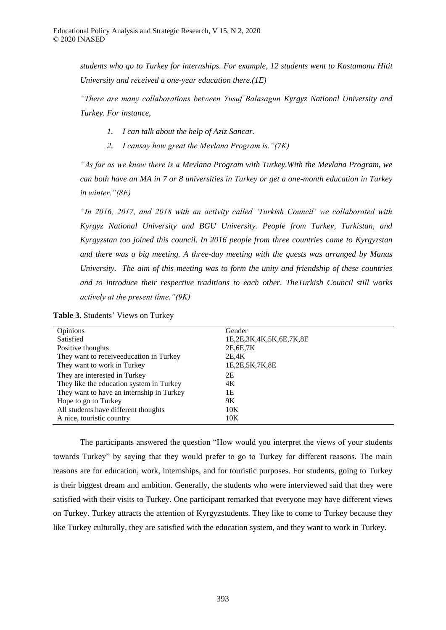*students who go to Turkey for internships. For example, 12 students went to Kastamonu Hitit University and received a one-year education there.(1E)*

*"There are many collaborations between Yusuf Balasagun Kyrgyz National University and Turkey. For instance,*

- *1. I can talk about the help of Aziz Sancar.*
- 2. *I cansay how great the Mevlana Program is.* "(7K)

*As far as we know there is a Mevlana Program with Turkey. With the Mevlana Program, we can both have an MA in 7 or 8 universities in Turkey or get a one-month education in Turkey in winter.* " (8E)

*"In 2016, 2017, and 2018 with an activity called 'Turkish Council' we collaborated with Kyrgyz National University and BGU University. People from Turkey, Turkistan, and Kyrgyzstan too joined this council. In 2016 people from three countries came to Kyrgyzstan and there was a big meeting. A three-day meeting with the guests was arranged by Manas University. The aim of this meeting was to form the unity and friendship of these countries and to introduce their respective traditions to each other. TheTurkish Council still works actively at the present time.* "(9K)

| Opinions                                  | Gender                  |
|-------------------------------------------|-------------------------|
| Satisfied                                 | 1E,2E,3K,4K,5K,6E,7K,8E |
| Positive thoughts                         | 2E, 6E, 7K              |
| They want to receiveeducation in Turkey   | 2E,4K                   |
| They want to work in Turkey               | 1E, 2E, 5K, 7K, 8E      |
| They are interested in Turkey             | 2E                      |
| They like the education system in Turkey  | 4K                      |
| They want to have an internship in Turkey | 1Ε                      |
| Hope to go to Turkey                      | 9K                      |
| All students have different thoughts      | 10K                     |
| A nice, touristic country                 | 10K                     |

**Table 3.** Students' Views on Turkey

The participants answered the question "How would you interpret the views of your students towards Turkey" by saying that they would prefer to go to Turkey for different reasons. The main reasons are for education, work, internships, and for touristic purposes. For students, going to Turkey is their biggest dream and ambition. Generally, the students who were interviewed said that they were satisfied with their visits to Turkey. One participant remarked that everyone may have different views on Turkey. Turkey attracts the attention of Kyrgyzstudents. They like to come to Turkey because they like Turkey culturally, they are satisfied with the education system, and they want to work in Turkey.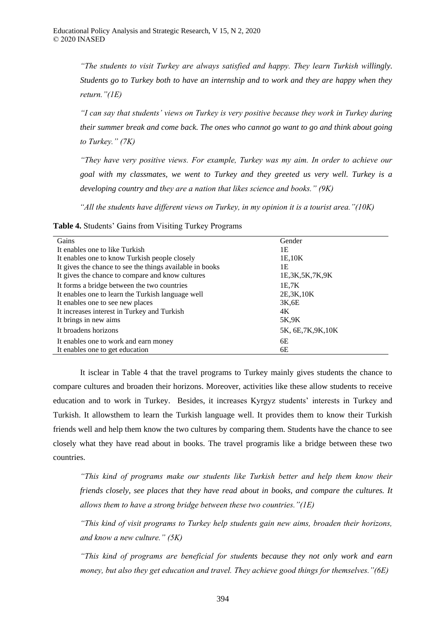*"The students to visit Turkey are always satisfied and happy. They learn Turkish willingly. Students go to Turkey both to have an internship and to work and they are happy when they return.*  $^{\prime\prime}(1E)$ 

*"I can say that students' views on Turkey is very positive because they work in Turkey during their summer break and come back. The ones who cannot go want to go and think about going to Turkey.* " (7*K*)

*"They have very positive views. For example, Turkey was my aim. In order to achieve our goal with my classmates, we went to Turkey and they greeted us very well. Turkey is a developing country and they are a nation that likes science and books." (9K)* 

*"All the students have different views on Turkey, in my opinion it is a tourist area."* (10K)

**Table 4.** Students' Gains from Visiting Turkey Programs

| Gains                                                    | Gender              |
|----------------------------------------------------------|---------------------|
| It enables one to like Turkish                           | 1Ε                  |
| It enables one to know Turkish people closely            | 1E,10K              |
| It gives the chance to see the things available in books | 1Ε                  |
| It gives the chance to compare and know cultures         | 1E, 3K, 5K, 7K, 9K  |
| It forms a bridge between the two countries              | 1E.7K               |
| It enables one to learn the Turkish language well        | 2E, 3K, 10K         |
| It enables one to see new places                         | 3K,6E               |
| It increases interest in Turkey and Turkish              | 4K                  |
| It brings in new aims                                    | 5K,9K               |
| It broadens horizons                                     | 5K, 6E, 7K, 9K, 10K |
| It enables one to work and earn money                    | 6E                  |
| It enables one to get education                          | 6Е                  |

It isclear in Table 4 that the travel programs to Turkey mainly gives students the chance to compare cultures and broaden their horizons. Moreover, activities like these allow students to receive education and to work in Turkey. Besides, it increases Kyrgyz students' interests in Turkey and Turkish. It allowsthem to learn the Turkish language well. It provides them to know their Turkish friends well and help them know the two cultures by comparing them. Students have the chance to see closely what they have read about in books. The travel programis like a bridge between these two countries.

*"This kind of programs make our students like Turkish better and help them know their friends closely, see places that they have read about in books, and compare the cultures. It allows them to have a strong bridge between these two countries " 1E* 

*"This kind of visit programs to Turkey help students gain new aims, broaden their horizons, and know a new culture " 5K* 

*"This kind of programs are beneficial for students because they not only work and earn money, but also they get education and travel. They achieve good things for themselves.* " *(6E)*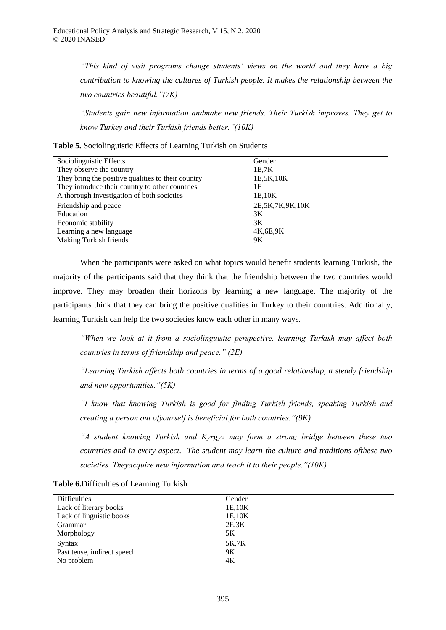*"This kind of visit programs change students' views on the world and they have a big contribution to knowing the cultures of Turkish people. It makes the relationship between the two countries beautiful." (7K)* 

"Students gain new information andmake new friends. Their Turkish improves. They get to *know Turkey and their Turkish friends better.* " (10K)

**Table 5.** Sociolinguistic Effects of Learning Turkish on Students

| Sociolinguistic Effects                            | Gender              |
|----------------------------------------------------|---------------------|
| They observe the country                           | 1E.7K               |
| They bring the positive qualities to their country | 1E, 5K, 10K         |
| They introduce their country to other countries    | 1Ε                  |
| A thorough investigation of both societies         | 1E,10K              |
| Friendship and peace                               | 2E, 5K, 7K, 9K, 10K |
| Education                                          | 3K                  |
| Economic stability                                 | 3K                  |
| Learning a new language                            | 4K, 6E, 9K          |
| <b>Making Turkish friends</b>                      | 9K                  |

When the participants were asked on what topics would benefit students learning Turkish, the majority of the participants said that they think that the friendship between the two countries would improve. They may broaden their horizons by learning a new language. The majority of the participants think that they can bring the positive qualities in Turkey to their countries. Additionally, learning Turkish can help the two societies know each other in many ways.

*"When we look at it from a sociolinguistic perspective, learning Turkish may affect both countries in terms of friendship and peace." (2E)* 

"Learning Turkish affects both countries in terms of a good relationship, a steady friendship *and new opportunities " 5K* 

"I know that knowing Turkish is good for finding Turkish friends, speaking Turkish and *creating a person out of yourself is beneficial for both countries."* (9K)

*A* student knowing Turkish and Kyrgyz may form a strong bridge between these two *countries and in every aspect. The student may learn the culture and traditions ofthese two societies. Theyacquire new information and teach it to their people." (10K)* 

| Difficulties                | Gender |
|-----------------------------|--------|
| Lack of literary books      | 1E,10K |
| Lack of linguistic books    | 1E,10K |
| Grammar                     | 2E, 3K |
| Morphology                  | 5K     |
| Syntax                      | 5K,7K  |
| Past tense, indirect speech | 9K     |
| No problem                  | 4K     |
|                             |        |

**Table 6.**Difficulties of Learning Turkish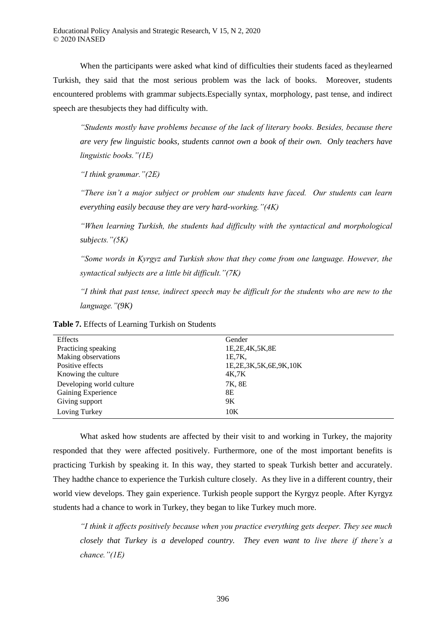When the participants were asked what kind of difficulties their students faced as theylearned Turkish, they said that the most serious problem was the lack of books. Moreover, students encountered problems with grammar subjects.Especially syntax, morphology, past tense, and indirect speech are thesubjects they had difficulty with.

"Students mostly have problems because of the lack of literary books. Besides, because there *are very few linguistic books, students cannot own a book of their own. Only teachers have linguistic books.*"(*IE*)

*"I think grammar " 2E* 

*"There isn't a major subject or problem our students have faced. Our students can learn everything easily because they are very hard-working " 4K* 

*"When learning Turkish, the students had difficulty with the syntactical and morphological subjects.* "(5K)

*"Some words in Kyrgyz and Turkish show that they come from one language. However, the* syntactical subjects are a little bit difficult." (7K)

*"I think that past tense, indirect speech may be difficult for the students who are new to the language "(9K)*

| Effects                  | Gender                |  |
|--------------------------|-----------------------|--|
| Practicing speaking      | 1E, 2E, 4K, 5K, 8E    |  |
| Making observations      | 1E.7K                 |  |
| Positive effects         | 1E,2E,3K,5K,6E,9K,10K |  |
| Knowing the culture      | 4K,7K                 |  |
| Developing world culture | 7K, 8E                |  |
| Gaining Experience       | 8Ε                    |  |
| Giving support           | 9K                    |  |
| Loving Turkey            | 10K                   |  |
|                          |                       |  |

**Table 7.** Effects of Learning Turkish on Students

What asked how students are affected by their visit to and working in Turkey, the majority responded that they were affected positively. Furthermore, one of the most important benefits is practicing Turkish by speaking it. In this way, they started to speak Turkish better and accurately. They hadthe chance to experience the Turkish culture closely. As they live in a different country, their world view develops. They gain experience. Turkish people support the Kyrgyz people. After Kyrgyz students had a chance to work in Turkey, they began to like Turkey much more.

*"I think it affects positively because when you practice everything gets deeper. They see much closely that Turkey is a developed country. They even want to live there if there's a chance.* "(1E)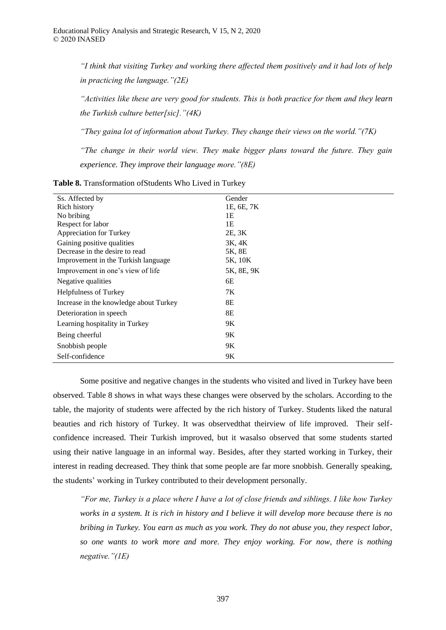*"I think that visiting Turkey and working there affected them positively and it had lots of help in practicing the language " 2E* 

*"Activities like these are very good for students. This is both practice for them and they learn the Turkish culture better[sic].* " *(4K)* 

*"They gaina lot of information about Turkey. They change their views on the world." (7K)* 

*"The change in their world view. They make bigger plans toward the future. They gain experience. They improve their language more.* "(8E)

| Ss. Affected by                        | Gender     |
|----------------------------------------|------------|
| Rich history                           | 1E, 6E, 7K |
| No bribing                             | 1E         |
| Respect for labor                      | 1E         |
| Appreciation for Turkey                | 2E, 3K     |
| Gaining positive qualities             | 3K, 4K     |
| Decrease in the desire to read         | 5K, 8E     |
| Improvement in the Turkish language    | 5K, 10K    |
| Improvement in one's view of life      | 5K, 8E, 9K |
| Negative qualities                     | 6E         |
| <b>Helpfulness of Turkey</b>           | 7K         |
| Increase in the knowledge about Turkey | 8E         |
| Deterioration in speech                | 8E         |
| Learning hospitality in Turkey         | 9Κ         |
| Being cheerful                         | 9Κ         |
| Snobbish people                        | 9K         |
| Self-confidence                        | 9Κ         |

**Table 8.** Transformation ofStudents Who Lived in Turkey

Some positive and negative changes in the students who visited and lived in Turkey have been observed. Table 8 shows in what ways these changes were observed by the scholars. According to the table, the majority of students were affected by the rich history of Turkey. Students liked the natural beauties and rich history of Turkey. It was observedthat theirview of life improved. Their selfconfidence increased. Their Turkish improved, but it wasalso observed that some students started using their native language in an informal way. Besides, after they started working in Turkey, their interest in reading decreased. They think that some people are far more snobbish. Generally speaking, the students' working in Turkey contributed to their development personally.

*"For me, Turkey is a place where I have a lot of close friends and siblings. I like how Turkey works in a system. It is rich in history and I believe it will develop more because there is no bribing in Turkey. You earn as much as you work. They do not abuse you, they respect labor, so one wants to work more and more. They enjoy working. For now, there is nothing negative.*"(*IE*)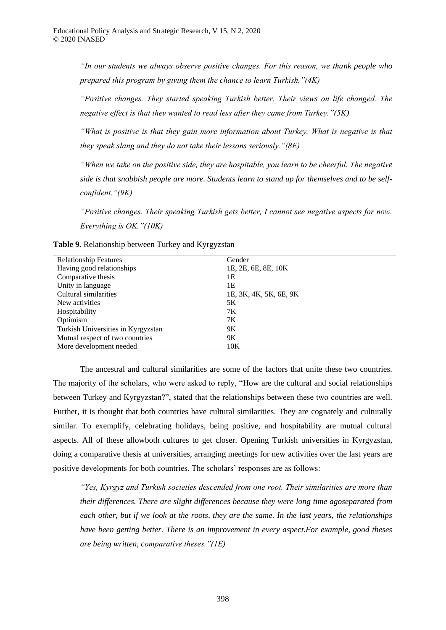*"In our students we always observe positive changes For this reason, we thank people who prepared this program by giving them the chance to learn Turkish."(4K)* 

*"Positive changes. They started speaking Turkish better. Their views on life changed. The negative effect is that they wanted to read less after they came from Turkey." (5K)* 

*"What is positive is that they gain more information about Turkey. What is negative is that they speak slang and they do not take their lessons seriously.* "(8E)

*"When we take on the positive side, they are hospitable, you learn to be cheerful. The negative side is that snobbish people are more. Students learn to stand up for themselves and to be selfconfident.* " (9K)

*"Positive changes. Their speaking Turkish gets better, I cannot see negative aspects for now. Everything is OK " 10K* 

| <b>Relationship Features</b>       | Gender                 |
|------------------------------------|------------------------|
| Having good relationships          | 1E, 2E, 6E, 8E, 10K    |
| Comparative thesis                 | 1E                     |
| Unity in language                  | 1E                     |
| Cultural similarities              | 1E, 3K, 4K, 5K, 6E, 9K |
| New activities                     | 5Κ                     |
| Hospitability                      | 7K                     |
| Optimism                           | 7K                     |
| Turkish Universities in Kyrgyzstan | 9Κ                     |
| Mutual respect of two countries    | 9K                     |
| More development needed            | 10K                    |

**Table 9.** Relationship between Turkey and Kyrgyzstan

The ancestral and cultural similarities are some of the factors that unite these two countries. The majority of the scholars, who were asked to reply, "How are the cultural and social relationships between Turkey and Kyrgyzstan?", stated that the relationships between these two countries are well. Further, it is thought that both countries have cultural similarities. They are cognately and culturally similar. To exemplify, celebrating holidays, being positive, and hospitability are mutual cultural aspects. All of these allowboth cultures to get closer. Opening Turkish universities in Kyrgyzstan, doing a comparative thesis at universities, arranging meetings for new activities over the last years are positive developments for both countries. The scholars' responses are as follows:

*"Yes, Kyrgyz and Turkish societies descended from one root. Their similarities are more than their differences. There are slight differences because they were long time agoseparated from each other, but if we look at the roots, they are the same. In the last years, the relationships have been getting better. There is an improvement in every aspect.For example, good theses are being written, comparative theses " 1E*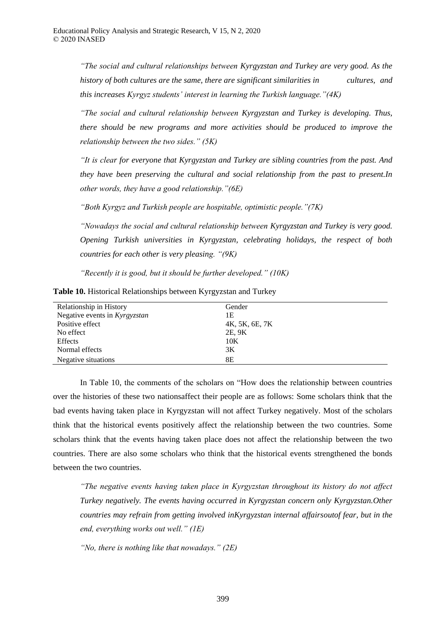*" he social and cultural relationships between Kyrgyzstan and Turkey are very good. As the history of both cultures are the same, there are significant similarities in cultures, and this increases Kyrgyz students' interest in learning the Turkish language." (4K)* 

*" he social and cultural relationship between Kyrgyzstan and Turkey is developing. Thus, there should be new programs and more activities should be produced to improve the relationship between the two sides." (5K)* 

*"It is clear for everyone that Kyrgyzstan and Turkey are sibling countries from the past. And they have been preserving the cultural and social relationship from the past to present.In other words, they have a good relationship " 6E* 

*"Both Kyrgyz and Turkish people are hospitable, optimistic people."(7K)* 

*"Nowadays the social and cultural relationship between Kyrgyzstan and Turkey is very good. Opening Turkish universities in Kyrgyzstan, celebrating holidays, the respect of both countries for each other is very pleasing.* "(9K)

*"Recently it is good, but it should be further developed." (10K)* 

| Relationship in History       | Gender         |
|-------------------------------|----------------|
| Negative events in Kyrgyzstan | 1Ε             |
| Positive effect               | 4K, 5K, 6E, 7K |
| No effect                     | 2E, 9K         |
| Effects                       | 10K            |
| Normal effects                | 3K             |
| Negative situations           | 8Е             |

**Table 10.** Historical Relationships between Kyrgyzstan and Turkey

In Table 10, the comments of the scholars on "How does the relationship between countries over the histories of these two nationsaffect their people are as follows: Some scholars think that the bad events having taken place in Kyrgyzstan will not affect Turkey negatively. Most of the scholars think that the historical events positively affect the relationship between the two countries. Some scholars think that the events having taken place does not affect the relationship between the two countries. There are also some scholars who think that the historical events strengthened the bonds between the two countries.

*"The negative events having taken place in Kyrgyzstan throughout its history do not affect Turkey negatively. The events having occurred in Kyrgyzstan concern only Kyrgyzstan.Other countries may refrain from getting involved inKyrgyzstan internal affairsoutof fear, but in the end, everything works out well." (IE)* 

*"No, there is nothing like that nowadays " 2E*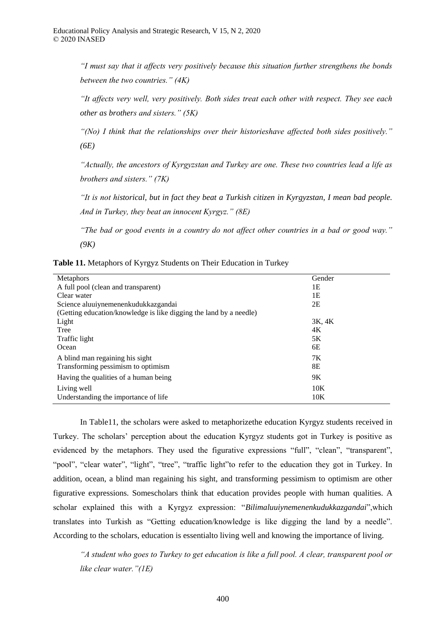*"I must say that it affects very positively because this situation further strengthens the bonds between the two countries." (4K)* 

*"It affects very well, very positively. Both sides treat each other with respect. They see each other as brothers and sisters " 5K* 

"(No) I think that the relationships over their historieshave affected both sides positively." *(6E)*

*"Actually, the ancestors of Kyrgyzstan and Turkey are one. These two countries lead a life as brothers and sisters " 7K* 

*"It is not historical, but in fact they beat a Turkish citizen in Kyrgyzstan, I mean bad people. And in Turkey, they beat an innocent Kyrgyz." (8E)* 

"The bad or good events in a country do not affect other countries in a bad or good way." *(9K)*

|  |  | <b>Table 11.</b> Metaphors of Kyrgyz Students on Their Education in Turkey |  |  |
|--|--|----------------------------------------------------------------------------|--|--|

| <b>Metaphors</b>                                                   | Gender |
|--------------------------------------------------------------------|--------|
| A full pool (clean and transparent)                                | 1E     |
| Clear water                                                        | 1E     |
| Science aluuiynemenenkudukkazgandai                                | 2E     |
| (Getting education/knowledge is like digging the land by a needle) |        |
| Light                                                              | 3K, 4K |
| Tree                                                               | 4K     |
| Traffic light                                                      | 5K     |
| Ocean                                                              | 6E     |
| A blind man regaining his sight                                    | 7Κ     |
| Transforming pessimism to optimism                                 | 8Е     |
| Having the qualities of a human being                              | 9K     |
| Living well                                                        | 10K    |
| Understanding the importance of life.                              | 10K    |
|                                                                    |        |

In Table11, the scholars were asked to metaphorizethe education Kyrgyz students received in Turkey. The scholars' perception about the education Kyrgyz students got in Turkey is positive as evidenced by the metaphors. They used the figurative expressions "full", "clean", "transparent", "pool", "clear water", "light", "tree", "traffic light"to refer to the education they got in Turkey. In addition, ocean, a blind man regaining his sight, and transforming pessimism to optimism are other figurative expressions. Somescholars think that education provides people with human qualities. A scholar explained this with a Kyrgyz expression: "*Bilimaluuiynemenenkudukkazgandai*",which translates into Turkish as "Getting education/knowledge is like digging the land by a needle". According to the scholars, education is essentialto living well and knowing the importance of living.

*A student who goes to Turkey to get education is like a full pool. A clear, transparent pool or like clear water.* "(1E)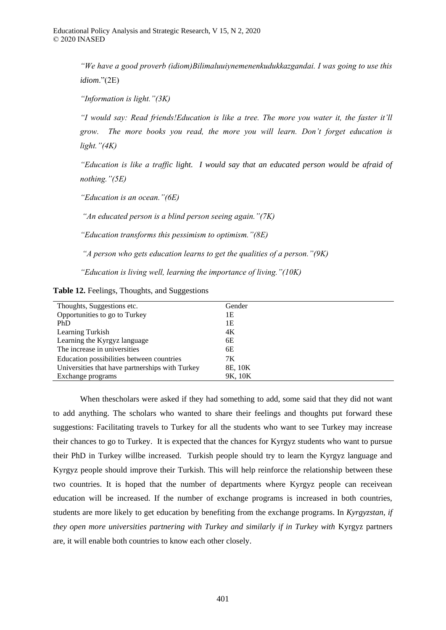*"We have a good proverb (idiom) Bilimaluuiynemenenkudukkazgandai. I was going to use this idiom*."(2E)

*"Information is light."(3K)* 

*"I would say: Read friends!Education is like a tree. The more you water it, the faster it'll* grow. The more books you read, the more you will learn. Don't forget education is *light.* " (4*K*)

*"Education is like a traffic light. I would say that an educated person would be afraid of nothing " 5E* 

*"Education is an ocean " 6E* 

"An educated person is a blind person seeing again." (7K)

*"Education transforms this pessimism to optimism." (8E)* 

*"A person who gets education learns to get the qualities of a person." (9K)* 

*"Education is living well, learning the importance of living." (10K)* 

|  |  |  | Table 12. Feelings, Thoughts, and Suggestions |
|--|--|--|-----------------------------------------------|
|--|--|--|-----------------------------------------------|

| Thoughts, Suggestions etc.                      | Gender  |
|-------------------------------------------------|---------|
| Opportunities to go to Turkey                   | 1Ε      |
| PhD                                             | 1Ε      |
| Learning Turkish                                | 4K      |
| Learning the Kyrgyz language                    | 6Е      |
| The increase in universities                    | 6E      |
| Education possibilities between countries       | 7K      |
| Universities that have partnerships with Turkey | 8E, 10K |
| Exchange programs                               | 9K, 10K |

When thescholars were asked if they had something to add, some said that they did not want to add anything. The scholars who wanted to share their feelings and thoughts put forward these suggestions: Facilitating travels to Turkey for all the students who want to see Turkey may increase their chances to go to Turkey. It is expected that the chances for Kyrgyz students who want to pursue their PhD in Turkey willbe increased. Turkish people should try to learn the Kyrgyz language and Kyrgyz people should improve their Turkish. This will help reinforce the relationship between these two countries. It is hoped that the number of departments where Kyrgyz people can receivean education will be increased. If the number of exchange programs is increased in both countries, students are more likely to get education by benefiting from the exchange programs. In *Kyrgyzstan, if they open more universities partnering with Turkey and similarly if in Turkey with Kyrgyz partners* are, it will enable both countries to know each other closely.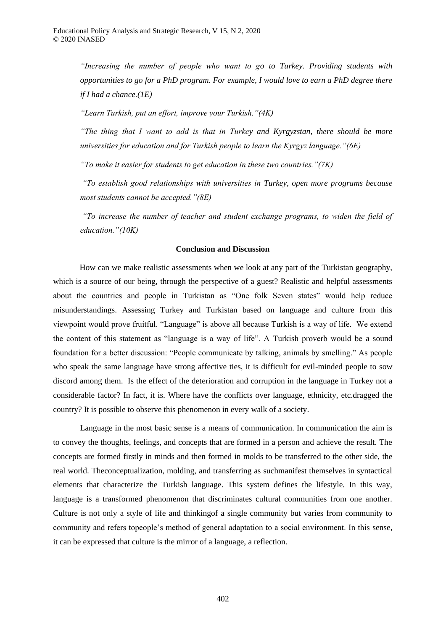"Increasing the number of people who want to go to Turkey. Providing students with *opportunities to go for a PhD program. For example, I would love to earn a PhD degree there if I had a chance.(1E)*

*"Learn Turkish, put an effort, improve your Turkish, "(4K)* 

*"The thing that I want to add is that in Turkey and Kyrgyzstan, there should be more universities for education and for Turkish people to learn the Kyrgyz language." (6E)* 

*"To make it easier for students to get education in these two countries."* (7*K*)

*" o establish good relationships with universities in Turkey, open more programs because most students cannot be accepted.* "(8E)

*"To increase the number of teacher and student exchange programs, to widen the field of education.*" (10K)

# **Conclusion and Discussion**

How can we make realistic assessments when we look at any part of the Turkistan geography, which is a source of our being, through the perspective of a guest? Realistic and helpful assessments about the countries and people in Turkistan as "One folk Seven states" would help reduce misunderstandings. Assessing Turkey and Turkistan based on language and culture from this viewpoint would prove fruitful. "Language" is above all because Turkish is a way of life. We extend the content of this statement as "language is a way of life". A Turkish proverb would be a sound foundation for a better discussion: "People communicate by talking, animals by smelling." As people who speak the same language have strong affective ties, it is difficult for evil-minded people to sow discord among them. Is the effect of the deterioration and corruption in the language in Turkey not a considerable factor? In fact, it is. Where have the conflicts over language, ethnicity, etc.dragged the country? It is possible to observe this phenomenon in every walk of a society.

Language in the most basic sense is a means of communication. In communication the aim is to convey the thoughts, feelings, and concepts that are formed in a person and achieve the result. The concepts are formed firstly in minds and then formed in molds to be transferred to the other side, the real world. Theconceptualization, molding, and transferring as suchmanifest themselves in syntactical elements that characterize the Turkish language. This system defines the lifestyle. In this way, language is a transformed phenomenon that discriminates cultural communities from one another. Culture is not only a style of life and thinkingof a single community but varies from community to community and refers topeople's method of general adaptation to a social environment. In this sense, it can be expressed that culture is the mirror of a language, a reflection.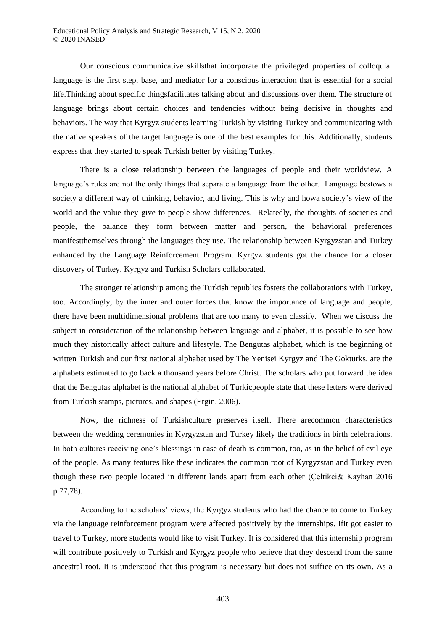Our conscious communicative skillsthat incorporate the privileged properties of colloquial language is the first step, base, and mediator for a conscious interaction that is essential for a social life.Thinking about specific thingsfacilitates talking about and discussions over them. The structure of language brings about certain choices and tendencies without being decisive in thoughts and behaviors. The way that Kyrgyz students learning Turkish by visiting Turkey and communicating with the native speakers of the target language is one of the best examples for this. Additionally, students express that they started to speak Turkish better by visiting Turkey.

There is a close relationship between the languages of people and their worldview. A language's rules are not the only things that separate a language from the other. Language bestows a society a different way of thinking, behavior, and living. This is why and howa society's view of the world and the value they give to people show differences. Relatedly, the thoughts of societies and people, the balance they form between matter and person, the behavioral preferences manifestthemselves through the languages they use. The relationship between Kyrgyzstan and Turkey enhanced by the Language Reinforcement Program. Kyrgyz students got the chance for a closer discovery of Turkey. Kyrgyz and Turkish Scholars collaborated.

The stronger relationship among the Turkish republics fosters the collaborations with Turkey, too. Accordingly, by the inner and outer forces that know the importance of language and people, there have been multidimensional problems that are too many to even classify. When we discuss the subject in consideration of the relationship between language and alphabet, it is possible to see how much they historically affect culture and lifestyle. The Bengutas alphabet, which is the beginning of written Turkish and our first national alphabet used by The Yenisei Kyrgyz and The Gokturks, are the alphabets estimated to go back a thousand years before Christ. The scholars who put forward the idea that the Bengutas alphabet is the national alphabet of Turkicpeople state that these letters were derived from Turkish stamps, pictures, and shapes (Ergin, 2006).

Now, the richness of Turkishculture preserves itself. There arecommon characteristics between the wedding ceremonies in Kyrgyzstan and Turkey likely the traditions in birth celebrations. In both cultures receiving one's blessings in case of death is common, too, as in the belief of evil eye of the people. As many features like these indicates the common root of Kyrgyzstan and Turkey even though these two people located in different lands apart from each other (Çeltikci& Kayhan 2016 p.77,78).

According to the scholars' views, the Kyrgyz students who had the chance to come to Turkey via the language reinforcement program were affected positively by the internships. Ifit got easier to travel to Turkey, more students would like to visit Turkey. It is considered that this internship program will contribute positively to Turkish and Kyrgyz people who believe that they descend from the same ancestral root. It is understood that this program is necessary but does not suffice on its own. As a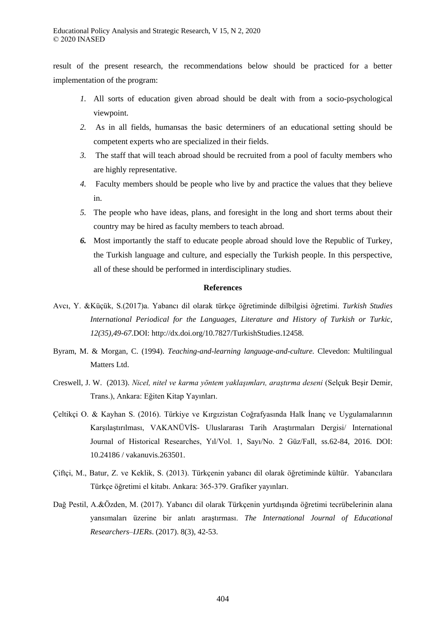result of the present research, the recommendations below should be practiced for a better implementation of the program:

- *1.* All sorts of education given abroad should be dealt with from a socio-psychological viewpoint.
- *2.* As in all fields, humansas the basic determiners of an educational setting should be competent experts who are specialized in their fields.
- *3.* The staff that will teach abroad should be recruited from a pool of faculty members who are highly representative.
- *4.* Faculty members should be people who live by and practice the values that they believe in.
- *5.* The people who have ideas, plans, and foresight in the long and short terms about their country may be hired as faculty members to teach abroad.
- *6.* Most importantly the staff to educate people abroad should love the Republic of Turkey, the Turkish language and culture, and especially the Turkish people. In this perspective, all of these should be performed in interdisciplinary studies.

# **References**

- Avcı, Y. &Küçük, S.(2017)a. Yabancı dil olarak türkçe öğretiminde dilbilgisi öğretimi. *Turkish Studies International Periodical for the Languages, Literature and History of Turkish or Turkic, 12(35),49-67.*DOI: http://dx.doi.org/10.7827/TurkishStudies.12458.
- Byram, M. & Morgan, C. (1994). *Teaching-and-learning language-and-culture.* Clevedon: Multilingual Matters Ltd.
- Creswell, J. W. (2013). *Nicel, nitel ve karma y ntem yaklaşımları, araştırma deseni* (Selçuk Beşir Demir, Trans.), Ankara: Eğiten Kitap Yayınları.
- Çeltikçi O. & Kayhan S. (2016). Türkiye ve Kırgızistan Coğrafyasında Halk İnanç ve Uygulamalarının Karşılaştırılması, VAKANÜVİS- Uluslararası Tarih Araştırmaları Dergisi/ International Journal of Historical Researches, Yıl/Vol. 1, Sayı/No. 2 Güz/Fall, ss.62-84, 2016. DOI: 10.24186 / vakanuvis.263501.
- Çiftçi, M., Batur, Z. ve Keklik, S. (2013). Türkçenin yabancı dil olarak öğretiminde kültür. Yabancılara Türkçe öğretimi el kitabı. Ankara: 365-379. Grafiker yayınları.
- Dağ Pestil, A.&Özden, M. (2017). Yabancı dil olarak Türkçenin yurtdışında öğretimi tecrübelerinin alana yansımaları üzerine bir anlatı araştırması. *The International Journal of Educational Researchers–IJERs*. (2017). 8(3), 42-53.